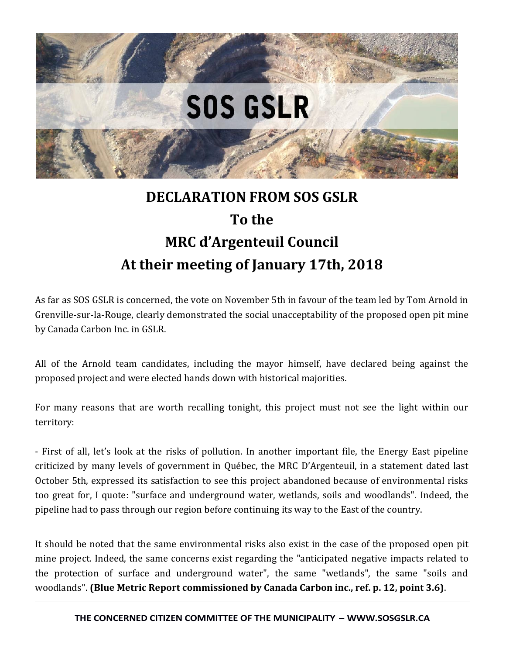

## **DECLARATION FROM SOS GSLR To the MRC d'Argenteuil Council At their meeting of January 17th, 2018**

As far as SOS GSLR is concerned, the vote on November 5th in favour of the team led by Tom Arnold in Grenville-sur-la-Rouge, clearly demonstrated the social unacceptability of the proposed open pit mine by Canada Carbon Inc. in GSLR.

All of the Arnold team candidates, including the mayor himself, have declared being against the proposed project and were elected hands down with historical majorities.

For many reasons that are worth recalling tonight, this project must not see the light within our territory:

- First of all, let's look at the risks of pollution. In another important file, the Energy East pipeline criticized by many levels of government in Québec, the MRC D'Argenteuil, in a statement dated last October 5th, expressed its satisfaction to see this project abandoned because of environmental risks too great for, I quote: "surface and underground water, wetlands, soils and woodlands". Indeed, the pipeline had to pass through our region before continuing its way to the East of the country.

It should be noted that the same environmental risks also exist in the case of the proposed open pit mine project. Indeed, the same concerns exist regarding the "anticipated negative impacts related to the protection of surface and underground water", the same "wetlands", the same "soils and woodlands". **(Blue Metric Report commissioned by Canada Carbon inc., ref. p. 12, point 3.6)**.